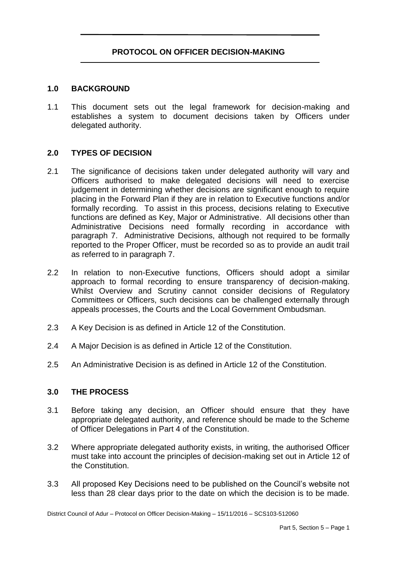# **PROTOCOL ON OFFICER DECISION-MAKING**

#### **1.0 BACKGROUND**

1.1 This document sets out the legal framework for decision-making and establishes a system to document decisions taken by Officers under delegated authority.

### **2.0 TYPES OF DECISION**

- 2.1 The significance of decisions taken under delegated authority will vary and Officers authorised to make delegated decisions will need to exercise judgement in determining whether decisions are significant enough to require placing in the Forward Plan if they are in relation to Executive functions and/or formally recording. To assist in this process, decisions relating to Executive functions are defined as Key, Major or Administrative. All decisions other than Administrative Decisions need formally recording in accordance with paragraph 7. Administrative Decisions, although not required to be formally reported to the Proper Officer, must be recorded so as to provide an audit trail as referred to in paragraph 7.
- 2.2 In relation to non-Executive functions, Officers should adopt a similar approach to formal recording to ensure transparency of decision-making. Whilst Overview and Scrutiny cannot consider decisions of Regulatory Committees or Officers, such decisions can be challenged externally through appeals processes, the Courts and the Local Government Ombudsman.
- 2.3 A Key Decision is as defined in Article 12 of the Constitution.
- 2.4 A Major Decision is as defined in Article 12 of the Constitution.
- 2.5 An Administrative Decision is as defined in Article 12 of the Constitution.

#### **3.0 THE PROCESS**

- 3.1 Before taking any decision, an Officer should ensure that they have appropriate delegated authority, and reference should be made to the Scheme of Officer Delegations in Part 4 of the Constitution.
- 3.2 Where appropriate delegated authority exists, in writing, the authorised Officer must take into account the principles of decision-making set out in Article 12 of the Constitution.
- 3.3 All proposed Key Decisions need to be published on the Council's website not less than 28 clear days prior to the date on which the decision is to be made.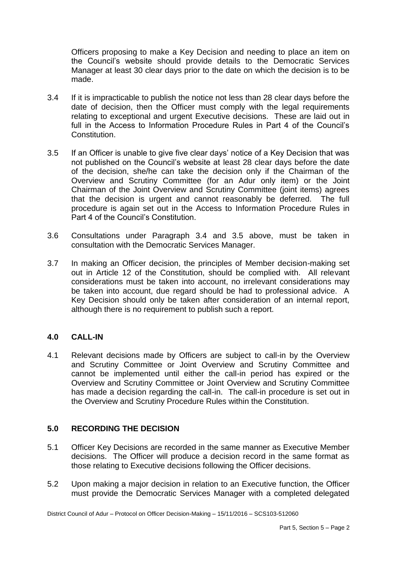Officers proposing to make a Key Decision and needing to place an item on the Council's website should provide details to the Democratic Services Manager at least 30 clear days prior to the date on which the decision is to be made.

- 3.4 If it is impracticable to publish the notice not less than 28 clear days before the date of decision, then the Officer must comply with the legal requirements relating to exceptional and urgent Executive decisions. These are laid out in full in the Access to Information Procedure Rules in Part 4 of the Council's Constitution.
- 3.5 If an Officer is unable to give five clear days' notice of a Key Decision that was not published on the Council's website at least 28 clear days before the date of the decision, she/he can take the decision only if the Chairman of the Overview and Scrutiny Committee (for an Adur only item) or the Joint Chairman of the Joint Overview and Scrutiny Committee (joint items) agrees that the decision is urgent and cannot reasonably be deferred. The full procedure is again set out in the Access to Information Procedure Rules in Part 4 of the Council's Constitution.
- 3.6 Consultations under Paragraph 3.4 and 3.5 above, must be taken in consultation with the Democratic Services Manager.
- 3.7 In making an Officer decision, the principles of Member decision-making set out in Article 12 of the Constitution, should be complied with. All relevant considerations must be taken into account, no irrelevant considerations may be taken into account, due regard should be had to professional advice. A Key Decision should only be taken after consideration of an internal report, although there is no requirement to publish such a report.

# **4.0 CALL-IN**

4.1 Relevant decisions made by Officers are subject to call-in by the Overview and Scrutiny Committee or Joint Overview and Scrutiny Committee and cannot be implemented until either the call-in period has expired or the Overview and Scrutiny Committee or Joint Overview and Scrutiny Committee has made a decision regarding the call-in. The call-in procedure is set out in the Overview and Scrutiny Procedure Rules within the Constitution.

# **5.0 RECORDING THE DECISION**

- 5.1 Officer Key Decisions are recorded in the same manner as Executive Member decisions. The Officer will produce a decision record in the same format as those relating to Executive decisions following the Officer decisions.
- 5.2 Upon making a major decision in relation to an Executive function, the Officer must provide the Democratic Services Manager with a completed delegated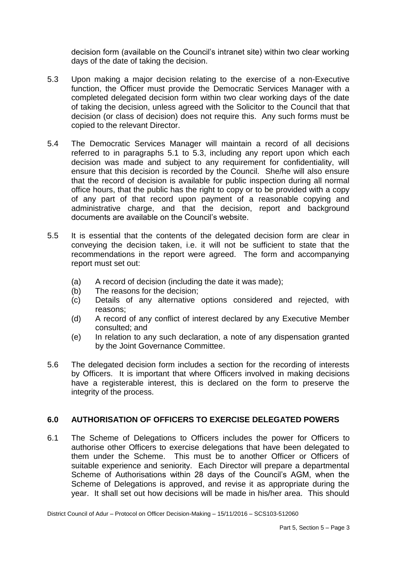decision form (available on the Council's intranet site) within two clear working days of the date of taking the decision.

- 5.3 Upon making a major decision relating to the exercise of a non-Executive function, the Officer must provide the Democratic Services Manager with a completed delegated decision form within two clear working days of the date of taking the decision, unless agreed with the Solicitor to the Council that that decision (or class of decision) does not require this. Any such forms must be copied to the relevant Director.
- 5.4 The Democratic Services Manager will maintain a record of all decisions referred to in paragraphs 5.1 to 5.3, including any report upon which each decision was made and subject to any requirement for confidentiality, will ensure that this decision is recorded by the Council. She/he will also ensure that the record of decision is available for public inspection during all normal office hours, that the public has the right to copy or to be provided with a copy of any part of that record upon payment of a reasonable copying and administrative charge, and that the decision, report and background documents are available on the Council's website.
- 5.5 It is essential that the contents of the delegated decision form are clear in conveying the decision taken, i.e. it will not be sufficient to state that the recommendations in the report were agreed. The form and accompanying report must set out:
	- (a) A record of decision (including the date it was made);
	- (b) The reasons for the decision;
	- (c) Details of any alternative options considered and rejected, with reasons;
	- (d) A record of any conflict of interest declared by any Executive Member consulted; and
	- (e) In relation to any such declaration, a note of any dispensation granted by the Joint Governance Committee.
- 5.6 The delegated decision form includes a section for the recording of interests by Officers. It is important that where Officers involved in making decisions have a registerable interest, this is declared on the form to preserve the integrity of the process.

# **6.0 AUTHORISATION OF OFFICERS TO EXERCISE DELEGATED POWERS**

6.1 The Scheme of Delegations to Officers includes the power for Officers to authorise other Officers to exercise delegations that have been delegated to them under the Scheme. This must be to another Officer or Officers of suitable experience and seniority. Each Director will prepare a departmental Scheme of Authorisations within 28 days of the Council's AGM, when the Scheme of Delegations is approved, and revise it as appropriate during the year. It shall set out how decisions will be made in his/her area. This should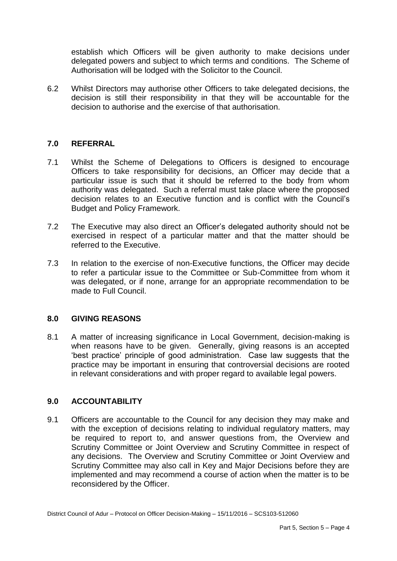establish which Officers will be given authority to make decisions under delegated powers and subject to which terms and conditions. The Scheme of Authorisation will be lodged with the Solicitor to the Council.

6.2 Whilst Directors may authorise other Officers to take delegated decisions, the decision is still their responsibility in that they will be accountable for the decision to authorise and the exercise of that authorisation.

## **7.0 REFERRAL**

- 7.1 Whilst the Scheme of Delegations to Officers is designed to encourage Officers to take responsibility for decisions, an Officer may decide that a particular issue is such that it should be referred to the body from whom authority was delegated. Such a referral must take place where the proposed decision relates to an Executive function and is conflict with the Council's Budget and Policy Framework.
- 7.2 The Executive may also direct an Officer's delegated authority should not be exercised in respect of a particular matter and that the matter should be referred to the Executive.
- 7.3 In relation to the exercise of non-Executive functions, the Officer may decide to refer a particular issue to the Committee or Sub-Committee from whom it was delegated, or if none, arrange for an appropriate recommendation to be made to Full Council.

### **8.0 GIVING REASONS**

8.1 A matter of increasing significance in Local Government, decision-making is when reasons have to be given. Generally, giving reasons is an accepted 'best practice' principle of good administration. Case law suggests that the practice may be important in ensuring that controversial decisions are rooted in relevant considerations and with proper regard to available legal powers.

### **9.0 ACCOUNTABILITY**

9.1 Officers are accountable to the Council for any decision they may make and with the exception of decisions relating to individual regulatory matters, may be required to report to, and answer questions from, the Overview and Scrutiny Committee or Joint Overview and Scrutiny Committee in respect of any decisions. The Overview and Scrutiny Committee or Joint Overview and Scrutiny Committee may also call in Key and Major Decisions before they are implemented and may recommend a course of action when the matter is to be reconsidered by the Officer.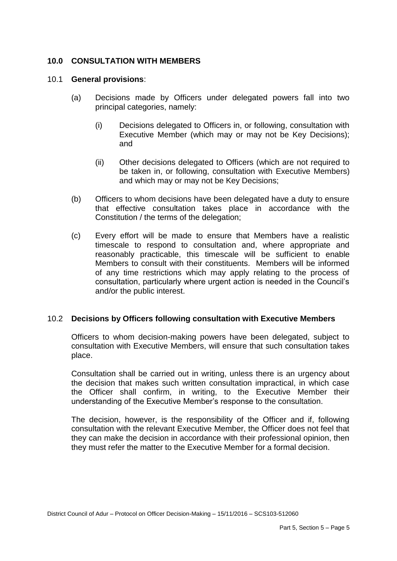## **10.0 CONSULTATION WITH MEMBERS**

#### 10.1 **General provisions**:

- (a) Decisions made by Officers under delegated powers fall into two principal categories, namely:
	- (i) Decisions delegated to Officers in, or following, consultation with Executive Member (which may or may not be Key Decisions); and
	- (ii) Other decisions delegated to Officers (which are not required to be taken in, or following, consultation with Executive Members) and which may or may not be Key Decisions;
- (b) Officers to whom decisions have been delegated have a duty to ensure that effective consultation takes place in accordance with the Constitution / the terms of the delegation;
- (c) Every effort will be made to ensure that Members have a realistic timescale to respond to consultation and, where appropriate and reasonably practicable, this timescale will be sufficient to enable Members to consult with their constituents. Members will be informed of any time restrictions which may apply relating to the process of consultation, particularly where urgent action is needed in the Council's and/or the public interest.

### 10.2 **Decisions by Officers following consultation with Executive Members**

Officers to whom decision-making powers have been delegated, subject to consultation with Executive Members, will ensure that such consultation takes place.

Consultation shall be carried out in writing, unless there is an urgency about the decision that makes such written consultation impractical, in which case the Officer shall confirm, in writing, to the Executive Member their understanding of the Executive Member's response to the consultation.

The decision, however, is the responsibility of the Officer and if, following consultation with the relevant Executive Member, the Officer does not feel that they can make the decision in accordance with their professional opinion, then they must refer the matter to the Executive Member for a formal decision.